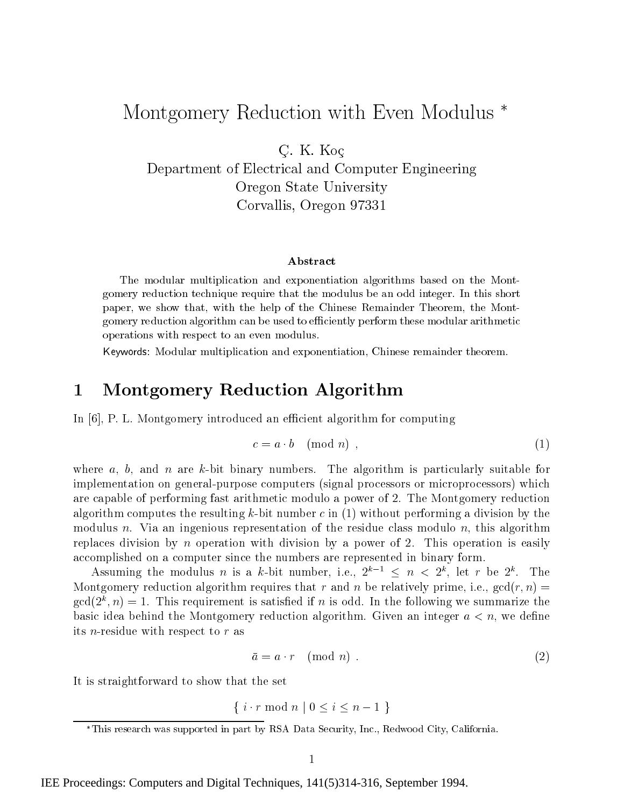# Montgomery Reduction with Even Modulus

 $C$  . If  $V$  if  $C$ 

Department of Electrical and Computer Engineering Oregon State University Corvallis, Oregon <sup>97331</sup>

### Abstract

The modular multiplication and exponentiation algorithms based on the Montgomery reduction technique require that the modulus be an odd integer. In this short paper, we show that, with the help of the Chinese Remainder Theorem, the Montgomery reduction algorithm can be used to efficiently perform these modular arithmetic operations with respect to an even modulus.

Keywords: Modular multiplication and exponentiation, Chinese remainder theorem.

#### Montgomery Reduction Algorithm 1

In [6], P. L. Montgomery introduced an efficient algorithm for computing

$$
c = a \cdot b \pmod{n},\tag{1}
$$

where a, b, and n are k-bit binary numbers. The algorithm is particularly suitable for implementation on general-purpose computers (signal processors or microprocessors) which are capable of performing fast arithmetic modulo a power of 2. The Montgomery reduction algorithm computes the resulting k-bit number c in  $(1)$  without performing a division by the modulus n. Via an ingenious representation of the residue class modulo n, this algorithm replaces division by n operation with division by a power of 2. This operation is easily accomplished on a computer since the numbers are represented in binary form.

Assuming the modulus n is a k-bit number, i.e.,  $2^{k-1} \leq n < 2^k$ , let r be  $2^k$ . The Montgomery reduction algorithm requires that r and n be relatively prime, i.e.,  $gcd(r, n) =$  $\gcd(Z, n) = 1$ . This requirement is satisfied if n is odd. In the following we summarize the basic idea behind the Montgomery reduction algorithm. Given an integer  $a < n$ , we define its n-residue with respect to <sup>r</sup> as

$$
\bar{a} = a \cdot r \pmod{n} \tag{2}
$$

It is straightforward to show that the set

$$
\{ i \cdot r \bmod n \mid 0 \le i \le n-1 \}
$$

This research was supported in part by RSA Data Security, Inc., Redwood City, California.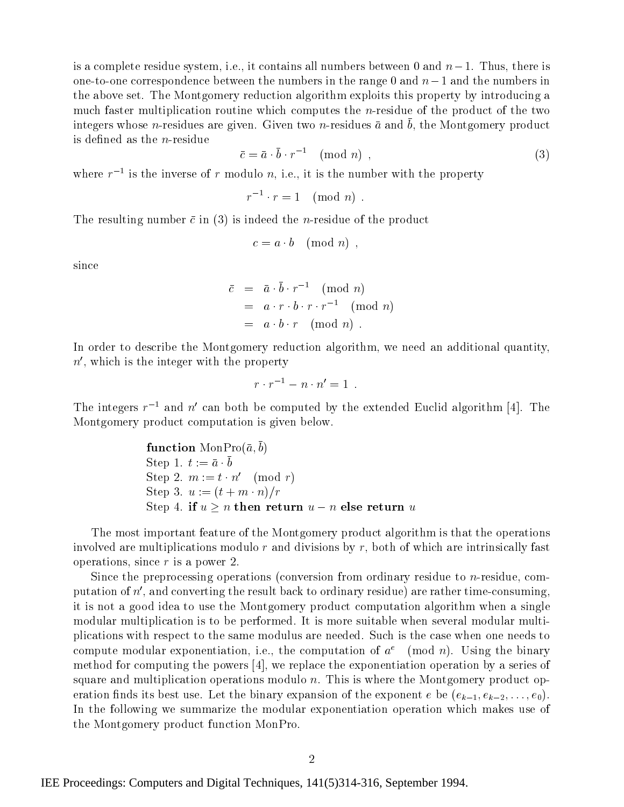is a complete residue system, i.e., it contains all numbers between 0 and  $n-1$ . Thus, there is one-to-one correspondence between the numbers in the range 0 and  $n-1$  and the numbers in the above set. The Montgomery reduction algorithm exploits this property by introducing a much faster multiplication routine which computes the n-residue of the product of the two  $\mu$ integers whose  $n$ -residues are given. Given two  $n$ -residues  $a$  and  $b$ , the Montgomery product is defined as the  $n$ -residue

$$
\bar{c} = \bar{a} \cdot \bar{b} \cdot r^{-1} \pmod{n}, \qquad (3)
$$

where  $r$  – is the inverse of  $r$  modulo  $n$ , i.e., it is the number with the property

$$
r^{-1} \cdot r = 1 \pmod{n}
$$

The resulting number  $\bar{c}$  in (3) is indeed the *n*-residue of the product

$$
c = a \cdot b \pmod{n},
$$

since

$$
\bar{c} = \bar{a} \cdot \bar{b} \cdot r^{-1} \pmod{n}
$$
  
=  $a \cdot r \cdot b \cdot r \cdot r^{-1} \pmod{n}$   
=  $a \cdot b \cdot r \pmod{n}$ .

In order to describe the Montgomery reduction algorithm, we need an additional quantity,  $n'$ , which is the integer with the property

$$
r \cdot r^{-1} - n \cdot n' = 1 \enspace .
$$

The integers  $r^{-1}$  and  $n'$  can both be computed by the extended Euclid algorithm [4]. The Montgomery product computation is given below.

**function** MonPro(
$$
\bar{a}, b
$$
)  
\nStep 1.  $t := \bar{a} \cdot \bar{b}$   
\nStep 2.  $m := t \cdot n'$  (mod  $r$ )  
\nStep 3.  $u := (t + m \cdot n)/r$   
\nStep 4. **if**  $u \geq n$  **then return**  $u - n$  **else return**  $u$ 

The most important feature of the Montgomery product algorithm is that the operations involved are multiplications modulo r and divisions by r, both of which are intrinsically fast operations, since  $r$  is a power 2.

Since the preprocessing operations (conversion from ordinary residue to n-residue, computation of  $n'$ , and converting the result back to ordinary residue) are rather time-consuming. it is not a good idea to use the Montgomery product computation algorithm when a single modular multiplication is to be performed. It is more suitable when several modular multiplications with respect to the same modulus are needed. Such is the case when one needs to compute modular exponentiation, i.e., the computation of  $a^e$  (mod n). Using the binary method for computing the powers [4], we replace the exponentiation operation by a series of square and multiplication operations modulo  $n$ . This is where the Montgomery product operation finds its best use. Let the binary expansion of the exponent  $e$  be  $(e_{k-1}, e_{k-2},...,e_0)$ . In the following we summarize the modular exponentiation operation which makes use of the Montgomery product function MonPro.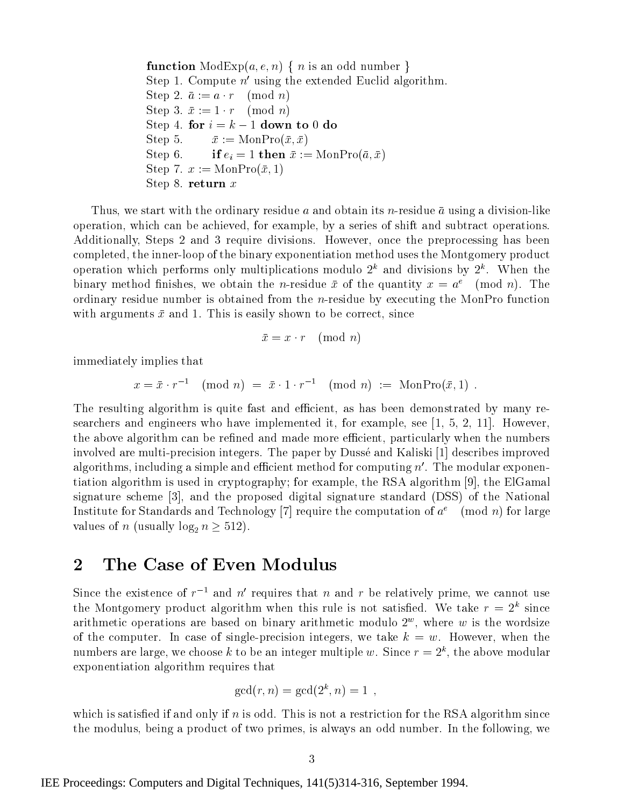**function** ModExp $(a, e, n)$  { n is an odd number } Step 1. Compute  $n'$  using the extended Euclid algorithm. Step 2.  $\bar{a} := a \cdot r \pmod{n}$ Step 3.  $\bar{x} := 1 \cdot r \pmod{n}$ Step 4. for  $i = k - 1$  down to 0 do Step 5.  $\bar{x} := \text{MonPro}(\bar{x}, \bar{x})$ Step 6. if  $e_i = 1$  then  $\bar{x} := \text{MonPro}(\bar{a}, \bar{x})$ Step 7.  $x := \text{MonPro}(\bar{x}, 1)$ Step 8. return <sup>x</sup>

Thus, we start with the ordinary residue a and obtain its n-residue  $\bar{a}$  using a division-like operation, which can be achieved, for example, by a series of shift and subtract operations. Additionally, Steps 2 and 3 require divisions. However, once the preprocessing has been completed, the inner-loop of the binary exponentiation method uses the Montgomery product operation which performs only multiplications modulo  $2^{\circ}$  and divisions by  $2^{\circ}$ . When the binary method finishes, we obtain the *n*-residue  $\bar{x}$  of the quantity  $x = a^e \pmod{n}$ . The ordinary residue number is obtained from the  $n$ -residue by executing the MonPro function with arguments  $\bar{x}$  and 1. This is easily shown to be correct, since

$$
\bar{x} = x \cdot r \pmod{n}
$$

immediately implies that

$$
x = \bar{x} \cdot r^{-1} \pmod{n} = \bar{x} \cdot 1 \cdot r^{-1} \pmod{n} := \text{MonPro}(\bar{x}, 1) .
$$

The resulting algorithm is quite fast and efficient, as has been demonstrated by many researchers and engineers who have implemented it, for example, see [1, 5, 2, 11]. However, the above algorithm can be refined and made more efficient, particularly when the numbers involved are multi-precision integers. The paper by Dussé and Kaliski [1] describes improved algorithms, including a simple and efficient method for computing  $n'$ . The modular exponentiation algorithm is used in cryptography; for example, the RSA algorithm [9], the ElGamal signature scheme [3], and the proposed digital signature standard (DSS) of the National Institute for Standards and Technology [7] require the computation of  $a^e \pmod{n}$  for large values of n (usually  $log_2 n \geq 512$ ).

## 2 The Case of Even Modulus

Since the existence of  $r^{-1}$  and n' requires that n and r be relatively prime, we cannot use the Montgomery product algorithm when this rule is not satisfied. We take  $r = 2^k$  since arithmetic operations are based on binary arithmetic modulo  $2^\circ$ , where  $w$  is the wordsize of the computer. In case of single-precision integers, we take  $k = w$ . However, when the numbers are large, we choose k to be an integer multiple w. Since  $r = z^{\alpha}$ , the above modular exponentiation algorithm requires that

$$
\gcd(r, n) = \gcd(2^k, n) = 1,
$$

which is satisfied if and only if  $n$  is odd. This is not a restriction for the RSA algorithm since the modulus, being a product of two primes, is always an odd number. In the following, we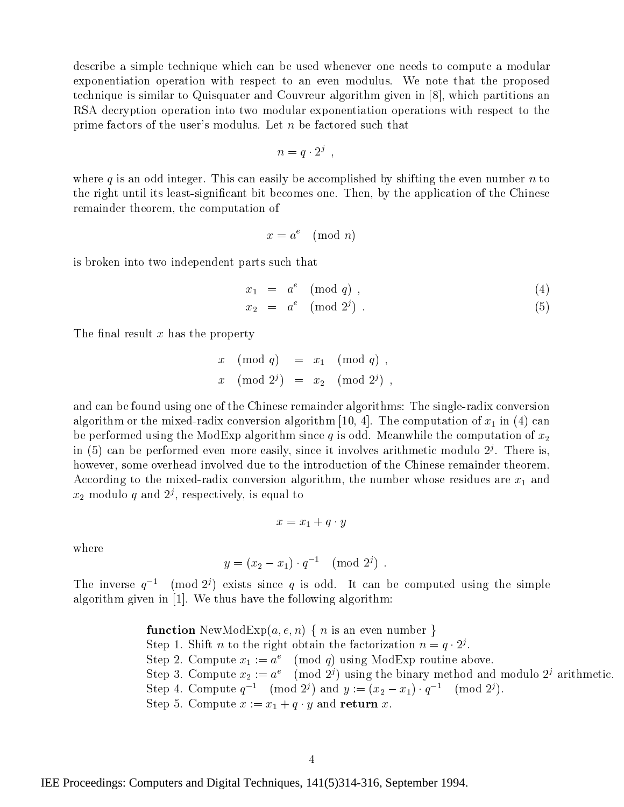describe a simple technique which can be used whenever one needs to compute a modular exponentiation operation with respect to an even modulus. We note that the proposed technique is similar to Quisquater and Couvreur algorithm given in [8], which partitions an RSA decryption operation into two modular exponentiation operations with respect to the prime factors of the user's modulus. Let <sup>n</sup> be factored such that

$$
n=q\cdot 2^j\enspace,
$$

where q is an odd integer. This can easily be accomplished by shifting the even number  $n$  to the right until its least-signicant bit becomes one. Then, by the application of the Chinese remainder theorem, the computation of

$$
x = a^e \pmod{n}
$$

is broken into two independent parts such that

$$
x_1 = a^e \pmod{q} \tag{4}
$$

$$
x_2 = a^e \pmod{2^j} \tag{5}
$$

The final result  $x$  has the property

 $x \pmod{q} = x_1 \pmod{q}$ ,  $x \pmod{2^j} = x_2 \pmod{2^j}$ 

and can be found using one of the Chinese remainder algorithms: The single-radix conversion algorithm or the mixed-radix conversion algorithm [10, 4]. The computation of  $x_1$  in (4) can be performed using the ModExp algorithm since q is odd. Meanwhile the computation of  $x_2$ in (5) can be performed even more easily, since it involves arithmetic modulo  $Z^\prime$ . There is, however, some overhead involved due to the introduction of the Chinese remainder theorem. According to the mixed-radix conversion algorithm, the number whose residues are  $x_1$  and  $x_2$  modulo q and  $z<sup>2</sup>$ , respectively, is equal to

$$
x = x_1 + q \cdot y
$$

where

$$
y = (x_2 - x_1) \cdot q^{-1} \pmod{2^j} \ .
$$

The inverse  $q^{-1}$  (mod 2<sup>j</sup>) exists since q is odd. It can be computed using the simple algorithm given in [1]. We thus have the following algorithm:

**function** NewModExp
$$
(a, e, n)
$$
 { *n* is an even number }  
Step 1. Shift *n* to the right obtain the factorization  $n = q \cdot 2^j$ .  
Step 2. Compute  $x_1 := a^e \pmod{q}$  using ModExp routine above.  
Step 3. Compute  $x_2 := a^e \pmod{2^j}$  using the binary method and modulo  $2^j$  arithmetic.  
Step 4. Compute  $q^{-1} \pmod{2^j}$  and  $y := (x_2 - x_1) \cdot q^{-1} \pmod{2^j}$ .  
Step 5. Compute  $x := x_1 + q \cdot y$  and **return**  $x$ .

IEE Proceedings: Computers and Digital Techniques, 141(5)314-316, September 1994.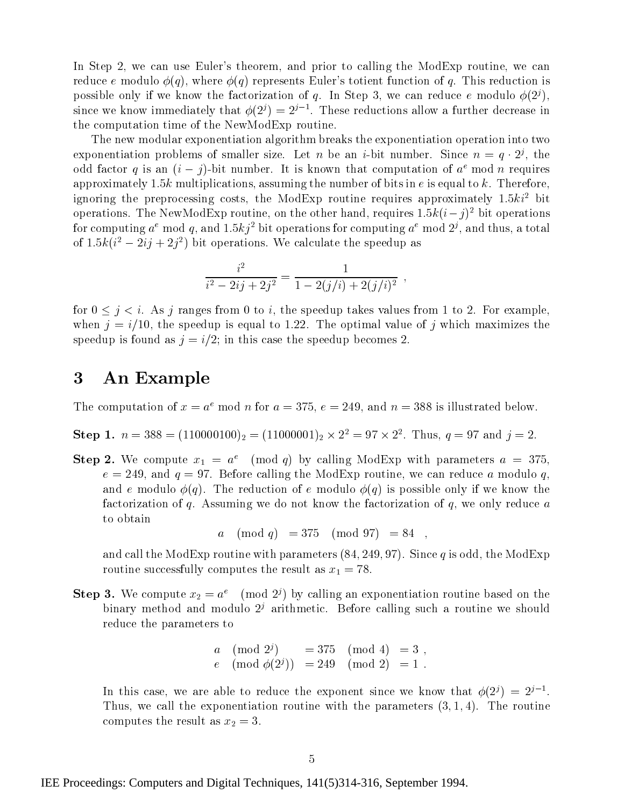In Step 2, we can use Euler's theorem, and prior to calling the ModExp routine, we can reduce e modulo  $\phi(q)$ , where  $\phi(q)$  represents Euler's totient function of q. This reduction is possible only if we know the factorization of q. In Step 3, we can reduce e modulo  $\phi(2^j)$ , since we know immediately that  $\varphi(z')=z'$  . These reductions allow a further decrease in the computation time of the NewModExp routine.

The new modular exponentiation algorithm breaks the exponentiation operation into two exponentiation problems of smaller size. Let  $n$  be an  $i$ -bit number. Since  $n = q \cdot 2^j$ , the odd factor q is an  $(i - j)$ -bit number. It is known that computation of  $a^e$  mod n requires approximately 1.5k multiplications, assuming the number of bits in  $e$  is equal to k. Therefore, ignoring the preprocessing costs, the ModExp routine requires approximately  $1.5ki^2$  bit operations. The NewModExp routine, on the other hand, requires 1.5k( $i-j$ ) bit operations for computing  $a$  -mod  $q$ , and 1.5kj -bit operations for computing  $a$  -mod  $2^j$ , and thus, a total of 1.5k( $i^+$  = 2ij + 2j<sup>-</sup>) bit operations. We calculate the speedup as

$$
\frac{i^2}{i^2 - 2ij + 2j^2} = \frac{1}{1 - 2(j/i) + 2(j/i)^2} ,
$$

for  $0 \leq j \leq i$ . As j ranges from 0 to i, the speedup takes values from 1 to 2. For example, when  $j=i/10$ , the speedup is equal to 1.22. The optimal value of j which maximizes the speedup is found as  $j=i/2$ ; in this case the speedup becomes 2.

#### An Example 3

The computation of  $x = a^e \mod n$  for  $a = 375$ ,  $e = 249$ , and  $n = 388$  is illustrated below.

Step 1.  $n = 388 = (110000100)_2 = (11000001)_2 \times 2^2 = 97 \times 2^2$ . Thus,  $q = 97$  and  $j = 2$ .

**Step 2.** We compute  $x_1 = a^e \pmod{q}$  by calling ModExp with parameters  $a = 375$ ,  $e = 249$ , and  $q = 97$ . Before calling the ModExp routine, we can reduce a modulo q, and e modulo  $\phi(q)$ . The reduction of e modulo  $\phi(q)$  is possible only if we know the factorization of  $q$ . Assuming we do not know the factorization of  $q$ , we only reduce  $a$ to obtain

a  $\pmod{q} = 375 \pmod{97} = 84$ 

and call the ModExp routine with parameters  $(84, 249, 97)$ . Since q is odd, the ModExp routine successfully computes the result as  $x_1 = 78$ .

**Step 3.** We compute  $x_2 = a^e \pmod{2^j}$  by calling an exponentiation routine based on the binary method and modulo  $2<sup>j</sup>$  arithmetic. Before calling such a routine we should reduce the parameters to

$$
a \pmod{2^j} = 375 \pmod{4} = 3
$$
,  
\n $e \pmod{\phi(2^j)} = 249 \pmod{2} = 1$ .

In this case, we are able to reduce the exponent since we know that  $\varphi(z') = z'$  . Thus, we call the exponentiation routine with the parameters  $(3, 1, 4)$ . The routine computes the result as  $x_2 = 3$ .